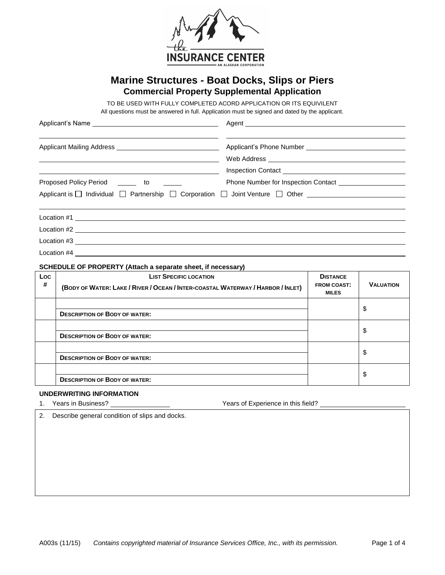

# **Marine Structures - Boat Docks, Slips or Piers Commercial Property Supplemental Application**

TO BE USED WITH FULLY COMPLETED ACORD APPLICATION OR ITS EQUIVILENT

All questions must be answered in full. Application must be signed and dated by the applicant.

|                                         | Inspection Contact <u>experience</u> and the second service of the service of the series of the series of the series of the series of the series of the series of the series of the series of the series of the series of the serie |
|-----------------------------------------|-------------------------------------------------------------------------------------------------------------------------------------------------------------------------------------------------------------------------------------|
| Proposed Policy Period _______ to       |                                                                                                                                                                                                                                     |
|                                         | Applicant is □ Individual □ Partnership □ Corporation □ Joint Venture □ Other                                                                                                                                                       |
|                                         |                                                                                                                                                                                                                                     |
|                                         |                                                                                                                                                                                                                                     |
| $Location #3$ $\overline{\phantom{2}0}$ |                                                                                                                                                                                                                                     |
| Location #4                             |                                                                                                                                                                                                                                     |

#### **SCHEDULE OF PROPERTY (Attach a separate sheet, if necessary)**

| Loc<br># | <b>LIST SPECIFIC LOCATION</b><br>(BODY OF WATER: LAKE / RIVER / OCEAN / INTER-COASTAL WATERWAY / HARBOR / INLET) | <b>DISTANCE</b><br><b>FROM COAST:</b><br><b>MILES</b> | <b>VALUATION</b> |
|----------|------------------------------------------------------------------------------------------------------------------|-------------------------------------------------------|------------------|
|          | <b>DESCRIPTION OF BODY OF WATER:</b>                                                                             |                                                       | \$               |
|          | <b>DESCRIPTION OF BODY OF WATER:</b>                                                                             |                                                       | \$               |
|          | <b>DESCRIPTION OF BODY OF WATER:</b>                                                                             |                                                       | \$               |
|          | <b>DESCRIPTION OF BODY OF WATER:</b>                                                                             |                                                       | \$               |

#### **UNDERWRITING INFORMATION**

1. Years in Business? Years of Experience in this field?

2. Describe general condition of slips and docks.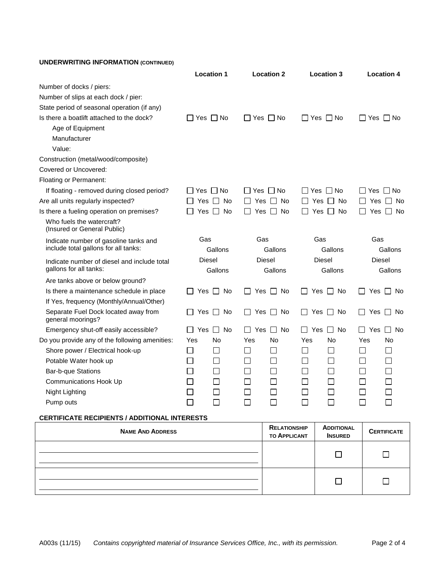# **UNDERWRITING INFORMATION (CONTINUED)**

|                                                                               |                | <b>Location 1</b>   |                             | <b>Location 2</b> |                     | <b>Location 3</b>    |                      | <b>Location 4</b> |
|-------------------------------------------------------------------------------|----------------|---------------------|-----------------------------|-------------------|---------------------|----------------------|----------------------|-------------------|
| Number of docks / piers:                                                      |                |                     |                             |                   |                     |                      |                      |                   |
| Number of slips at each dock / pier:                                          |                |                     |                             |                   |                     |                      |                      |                   |
| State period of seasonal operation (if any)                                   |                |                     |                             |                   |                     |                      |                      |                   |
| Is there a boatlift attached to the dock?                                     | □ Yes □ No     |                     | ∐ Yes ∐ No                  |                   |                     | $\Box$ Yes $\Box$ No | ∃Yes ∏ No            |                   |
| Age of Equipment                                                              |                |                     |                             |                   |                     |                      |                      |                   |
| Manufacturer                                                                  |                |                     |                             |                   |                     |                      |                      |                   |
| Value:                                                                        |                |                     |                             |                   |                     |                      |                      |                   |
| Construction (metal/wood/composite)                                           |                |                     |                             |                   |                     |                      |                      |                   |
| Covered or Uncovered:                                                         |                |                     |                             |                   |                     |                      |                      |                   |
| Floating or Permanent:                                                        |                |                     |                             |                   |                     |                      |                      |                   |
| If floating - removed during closed period?                                   | IIYesIINo      |                     | l IYes IINo                 |                   |                     | IIYesIINo            | $\Box$ Yes $\Box$ No |                   |
| Are all units regularly inspected?                                            | Yes            | No<br>$\Box$        |                             | Yes     No        |                     | Yes     No           |                      | Yes □ No          |
| Is there a fueling operation on premises?                                     |                | Yes $\Box$ No       | $\mathbf{I}$                | Yes □ No          |                     | $\Box$ Yes $\Box$ No | $\blacksquare$       | Yes $\Box$ No     |
| Who fuels the watercraft?<br>(Insured or General Public)                      |                |                     |                             |                   |                     |                      |                      |                   |
| Indicate number of gasoline tanks and<br>include total gallons for all tanks: | Gas            | Gallons             | Gas                         | Gallons           | Gas                 | Gallons              | Gas                  | Gallons           |
| Indicate number of diesel and include total<br>gallons for all tanks:         | <b>Diesel</b>  | Gallons             |                             | Diesel<br>Gallons |                     | Diesel<br>Gallons    | Diesel               | Gallons           |
| Are tanks above or below ground?                                              |                |                     |                             |                   |                     |                      |                      |                   |
| Is there a maintenance schedule in place                                      | $\mathbf{1}$   | Yes $\Box$<br>No    | $\mathsf{L}$                | Yes $\Box$ No     | $\perp$             | Yes $\square$<br>No  | Yes<br>$\perp$       | $\Box$ No         |
| If Yes, frequency (Monthly/Annual/Other)                                      |                |                     |                             |                   |                     |                      |                      |                   |
| Separate Fuel Dock located away from<br>general moorings?                     |                | No<br>Yes $\Box$    |                             | Yes II No         | $\mathsf{L}$        | Yes $\Box$<br>No     | Yes                  | l I No            |
| Emergency shut-off easily accessible?                                         | Yes            | $\Box$<br><b>No</b> | Yes<br>$\mathsf{L}$         | $\Box$ No         | Yes<br>$\mathbf{1}$ | $\Box$<br><b>No</b>  | Yes                  | $\Box$ No         |
| Do you provide any of the following amenities:                                | Yes            | No                  | Yes                         | No                | Yes                 | No                   | Yes                  | No                |
| Shore power / Electrical hook-up                                              | $\blacksquare$ | $\sim$              | l.                          | $\mathbf{I}$      | $\blacksquare$      | $\Box$               | $\sim$               |                   |
| Potable Water hook up                                                         | $\Box$         | $\sim$              | $\Box$                      | $\mathsf{L}$      | $\mathsf{L}$        | $\mathsf{L}$         | $\mathbb{R}^n$       |                   |
| <b>Bar-b-que Stations</b>                                                     | $\mathsf{L}$   |                     | L.                          | $\mathsf{L}$      |                     | $\mathbf{L}$         |                      |                   |
| <b>Communications Hook Up</b>                                                 | $\Box$         | $\Box$              | L.                          | $\mathsf{L}$      |                     | $\mathsf{L}$         | $\mathbb{R}^n$       |                   |
| Night Lighting                                                                | $\mathsf{L}$   |                     | L.                          | $\mathsf{L}$      |                     | $\mathsf{L}$         | $\mathbb{R}^n$       |                   |
| Pump outs                                                                     | $\sim$         |                     | $\mathcal{L}_{\mathcal{A}}$ |                   |                     | $\mathbf{I}$         | $\blacksquare$       |                   |
|                                                                               |                |                     |                             |                   |                     |                      |                      |                   |

### **CERTIFICATE RECIPIENTS / ADDITIONAL INTERESTS**

| <b>NAME AND ADDRESS</b> | <b>RELATIONSHIP</b><br><b>TO APPLICANT</b> | <b>ADDITIONAL</b><br><b>INSURED</b> | <b>CERTIFICATE</b> |
|-------------------------|--------------------------------------------|-------------------------------------|--------------------|
|                         |                                            |                                     |                    |
|                         |                                            |                                     |                    |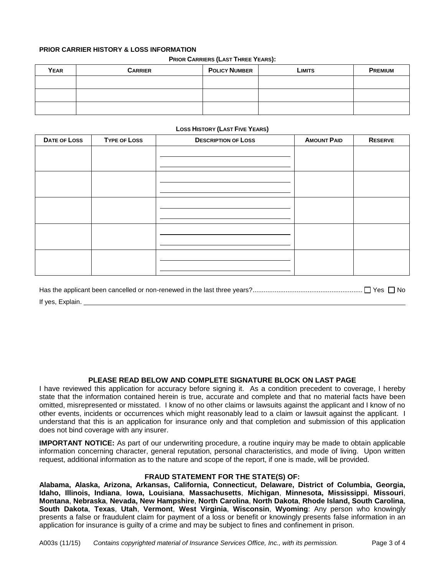# **PRIOR CARRIER HISTORY & LOSS INFORMATION**

#### **PRIOR CARRIERS (LAST THREE YEARS):**

| <b>YEAR</b> | <b>CARRIER</b> | <b>POLICY NUMBER</b> | Limits | <b>PREMIUM</b> |
|-------------|----------------|----------------------|--------|----------------|
|             |                |                      |        |                |
|             |                |                      |        |                |
|             |                |                      |        |                |

## **LOSS HISTORY (LAST FIVE YEARS)**

| DATE OF LOSS | <b>TYPE OF LOSS</b> | <b>DESCRIPTION OF LOSS</b> | <b>AMOUNT PAID</b> | <b>RESERVE</b> |
|--------------|---------------------|----------------------------|--------------------|----------------|
|              |                     |                            |                    |                |
|              |                     |                            |                    |                |
|              |                     |                            |                    |                |
|              |                     |                            |                    |                |
|              |                     |                            |                    |                |
|              |                     |                            |                    |                |
|              |                     |                            |                    |                |
|              |                     |                            |                    |                |
|              |                     |                            |                    |                |
|              |                     |                            |                    |                |
|              |                     |                            |                    |                |
|              |                     |                            |                    |                |
|              |                     |                            |                    |                |

Has the applicant been cancelled or non-renewed in the last three years?............................................................ Yes No If yes, Explain.

# **PLEASE READ BELOW AND COMPLETE SIGNATURE BLOCK ON LAST PAGE**

I have reviewed this application for accuracy before signing it. As a condition precedent to coverage, I hereby state that the information contained herein is true, accurate and complete and that no material facts have been omitted, misrepresented or misstated. I know of no other claims or lawsuits against the applicant and I know of no other events, incidents or occurrences which might reasonably lead to a claim or lawsuit against the applicant. I understand that this is an application for insurance only and that completion and submission of this application does not bind coverage with any insurer.

**IMPORTANT NOTICE:** As part of our underwriting procedure, a routine inquiry may be made to obtain applicable information concerning character, general reputation, personal characteristics, and mode of living. Upon written request, additional information as to the nature and scope of the report, if one is made, will be provided.

## **FRAUD STATEMENT FOR THE STATE(S) OF:**

**Alabama, Alaska, Arizona, Arkansas, California, Connecticut, Delaware, District of Columbia, Georgia, Idaho, Illinois, Indiana**, **Iowa, Louisiana**, **Massachusetts**, **Michigan**, **Minnesota, Mississippi**, **Missouri**, **Montana**, **Nebraska**, **Nevada, New Hampshire**, **North Carolina**, **North Dakota**, **Rhode Island, South Carolina**, **South Dakota**, **Texas**, **Utah**, **Vermont**, **West Virginia**, **Wisconsin**, **Wyoming**: Any person who knowingly presents a false or fraudulent claim for payment of a loss or benefit or knowingly presents false information in an application for insurance is guilty of a crime and may be subject to fines and confinement in prison.